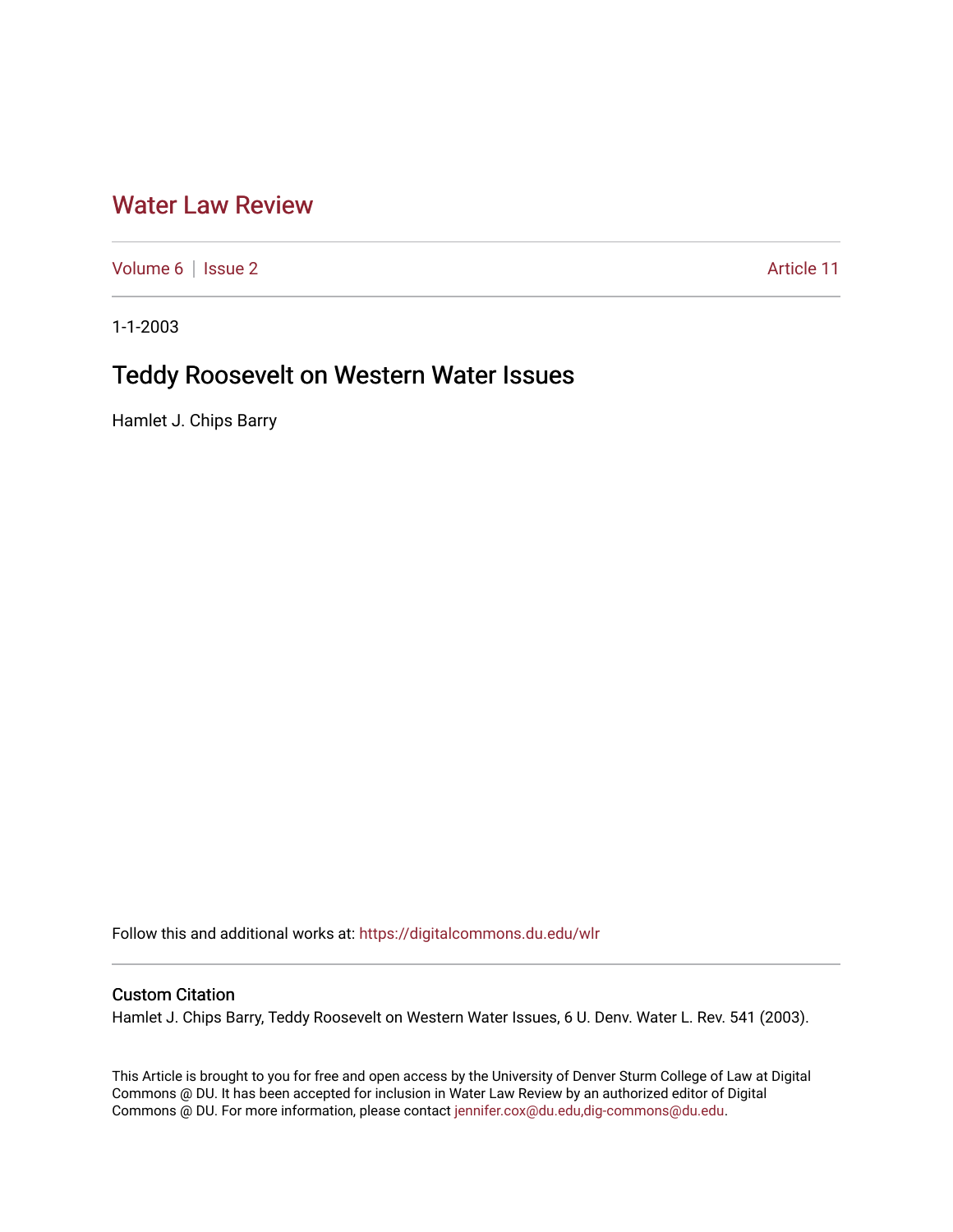## [Water Law Review](https://digitalcommons.du.edu/wlr)

[Volume 6](https://digitalcommons.du.edu/wlr/vol6) | [Issue 2](https://digitalcommons.du.edu/wlr/vol6/iss2) Article 11

1-1-2003

# Teddy Roosevelt on Western Water Issues

Hamlet J. Chips Barry

Follow this and additional works at: [https://digitalcommons.du.edu/wlr](https://digitalcommons.du.edu/wlr?utm_source=digitalcommons.du.edu%2Fwlr%2Fvol6%2Fiss2%2F11&utm_medium=PDF&utm_campaign=PDFCoverPages) 

## Custom Citation

Hamlet J. Chips Barry, Teddy Roosevelt on Western Water Issues, 6 U. Denv. Water L. Rev. 541 (2003).

This Article is brought to you for free and open access by the University of Denver Sturm College of Law at Digital Commons @ DU. It has been accepted for inclusion in Water Law Review by an authorized editor of Digital Commons @ DU. For more information, please contact [jennifer.cox@du.edu,dig-commons@du.edu.](mailto:jennifer.cox@du.edu,dig-commons@du.edu)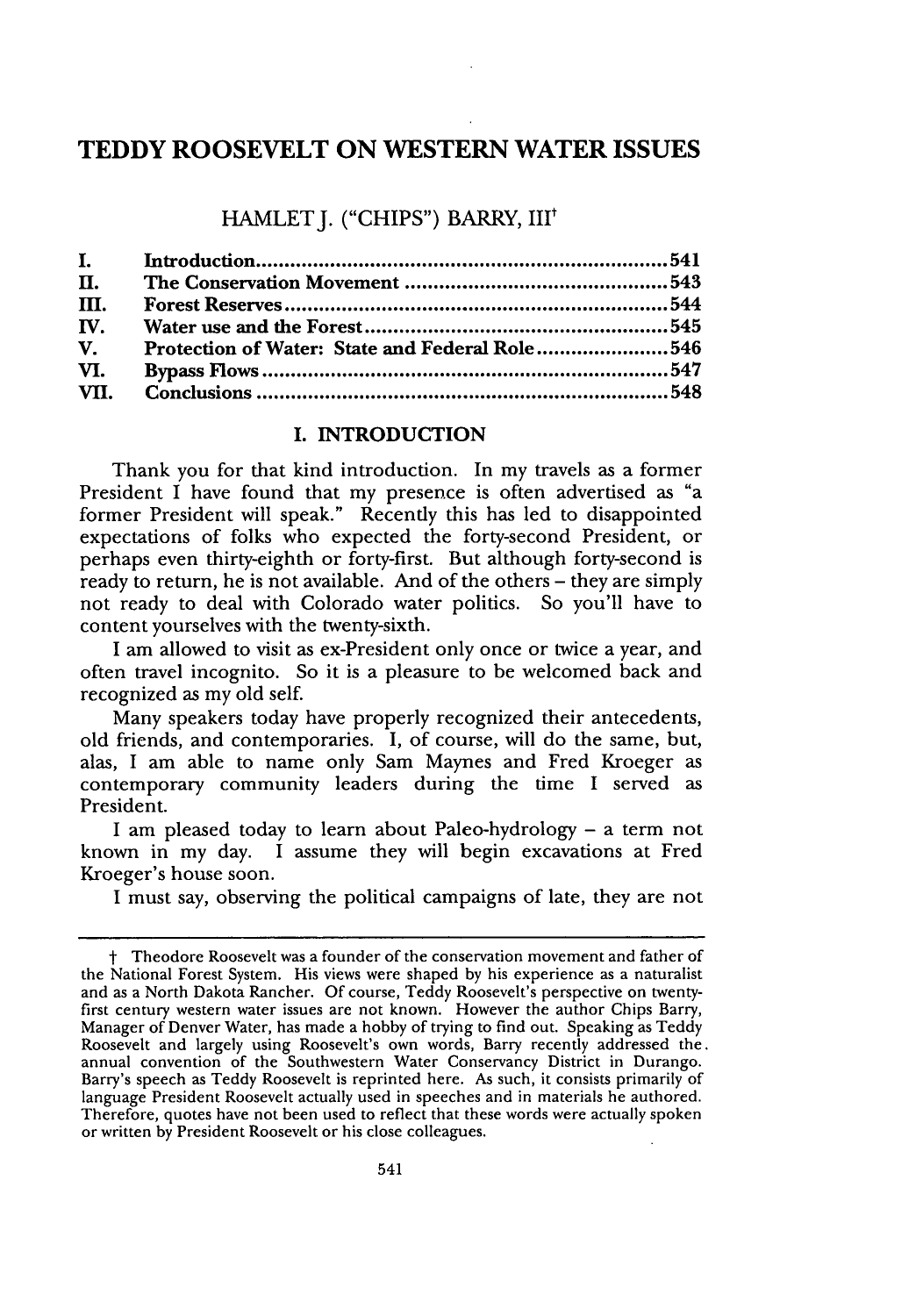## **TEDDY ROOSEVELT ON WESTERN WATER ISSUES**

## **HAMLET J. ("CHIPS") BARRY, III"**

| $\mathbf{I}$ .        |                                                       |  |
|-----------------------|-------------------------------------------------------|--|
| П.                    |                                                       |  |
| III.                  |                                                       |  |
| $\mathbf{IV}_{\cdot}$ |                                                       |  |
| $\mathbf{V}$ .        | <b>Protection of Water: State and Federal Role546</b> |  |
| VI.                   |                                                       |  |
|                       |                                                       |  |
|                       |                                                       |  |

#### **I. INTRODUCTION**

Thank you for that kind introduction. In my travels as a former President I have found that my presence is often advertised as "a former President will speak." Recently this has led to disappointed expectations of folks who expected the forty-second President, or perhaps even thirty-eighth or forty-first. But although forty-second is ready to return, he is not available. And of the others **-** they are simply not ready to deal with Colorado water politics. So you'll have to content yourselves with the twenty-sixth.

**I** am allowed to visit as ex-President only once or twice a year, and often travel incognito. So it is a pleasure to be welcomed back and recognized as my old self.

Many speakers today have properly recognized their antecedents, old friends, and contemporaries. **I,** of course, will do the same, but, alas, I am able to name only Sam Maynes and Fred Kroeger as contemporary community leaders during the time **I** served as President.

**I** am pleased today to learn about Paleo-hydrology **-** a term not known in my day. I assume they will begin excavations at Fred Kroeger's house soon.

**I** must say, observing the political campaigns of late, they are not

t Theodore Roosevelt was a founder of the conservation movement and father of the National Forest System. His views were shaped **by** his experience as a naturalist and as a North Dakota Rancher. **Of** course, Teddy Roosevelt's perspective on twentyfirst century western water issues are not known. However the author Chips Barry, Manager of Denver Water, has made a hobby of trying to find out. Speaking as Teddy Roosevelt and largely using Roosevelt's own words, Barry recently addressed the. annual convention of the Southwestern Water Conservancy District in Durango. Barry's speech as Teddy Roosevelt is reprinted here. As such, it consists primarily of language President Roosevelt actually used in speeches and in materials he authored. Therefore, quotes have not been used to reflect that these words were actually spoken or written **by** President Roosevelt or his close colleagues.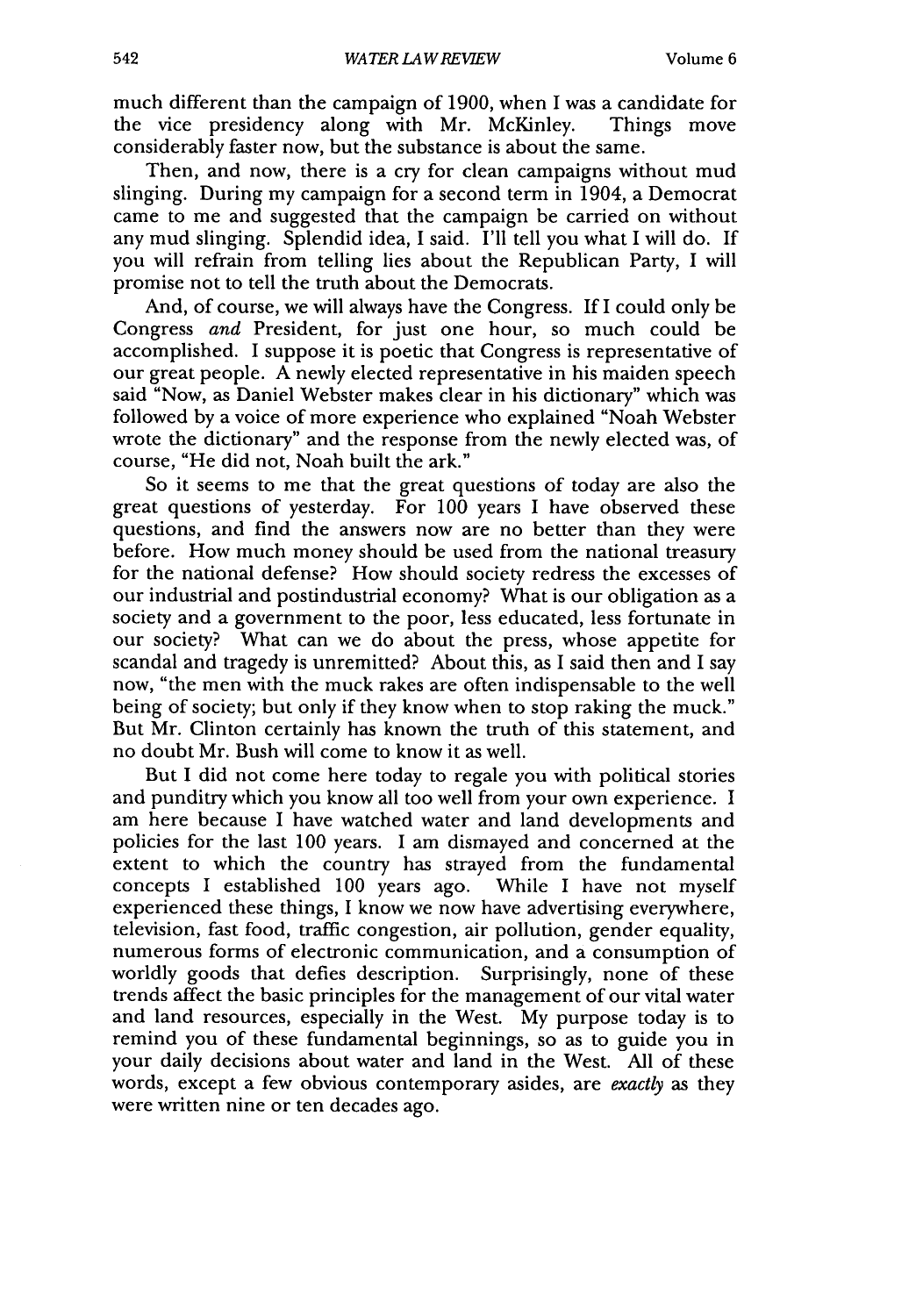much different than the campaign of 1900, when I was a candidate for the vice presidency along with Mr. McKinley. Things move considerably faster now, but the substance is about the same.

Then, and now, there is a cry for clean campaigns without mud slinging. During my campaign for a second term in 1904, a Democrat came to me and suggested that the campaign be carried on without any mud slinging. Splendid idea, I said. I'll tell you what I will do. If you will refrain from telling lies about the Republican Party, I will promise not to tell the truth about the Democrats.

And, of course, we will always have the Congress. If I could only be Congress *and* President, for just one hour, so much could be accomplished. I suppose it is poetic that Congress is representative of our great people. A newly elected representative in his maiden speech said "Now, as Daniel Webster makes clear in his dictionary" which was followed by a voice of more experience who explained "Noah Webster wrote the dictionary" and the response from the newly elected was, of course, "He did not, Noah built the ark."

So it seems to me that the great questions of today are also the great questions of yesterday. For 100 years I have observed these questions, and find the answers now are no better than they were before. How much money should be used from the national treasury for the national defense? How should society redress the excesses of our industrial and postindustrial economy? What is our obligation as a society and a government to the poor, less educated, less fortunate in our society? What can we do about the press, whose appetite for scandal and tragedy is unremitted? About this, as I said then and I say now, "the men with the muck rakes are often indispensable to the well being of society; but only if they know when to stop raking the muck." But Mr. Clinton certainly has known the truth of this statement, and no doubt Mr. Bush will come to know it as well.

But I did not come here today to regale you with political stories and punditry which you know all too well from your own experience. I am here because I have watched water and land developments and policies for the last 100 years. I am dismayed and concerned at the extent to which the country has strayed from the fundamental concepts I established 100 years ago. While I have not myself experienced these things, I know we now have advertising everywhere, television, fast food, traffic congestion, air pollution, gender equality, numerous forms of electronic communication, and a consumption of worldly goods that defies description. Surprisingly, none of these trends affect the basic principles for the management of our vital water and land resources, especially in the West. My purpose today is to remind you of these fundamental beginnings, so as to guide you in your daily decisions about water and land in the West. All of these words, except a few obvious contemporary asides, are *exactly* as they were written nine or ten decades ago.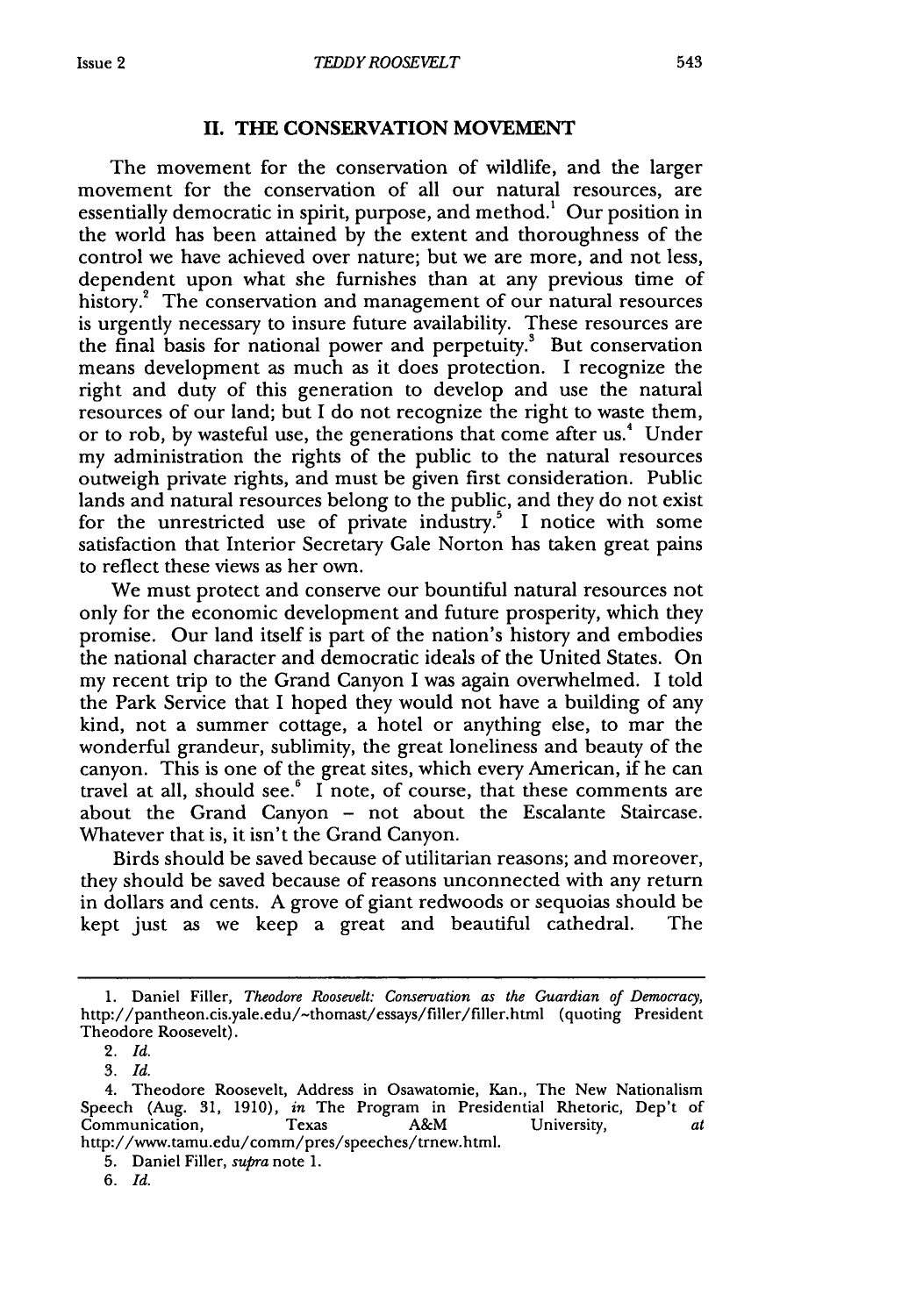## **II. THE CONSERVATION MOVEMENT**

The movement for the conservation of wildlife, and the larger movement for the conservation of all our natural resources, are essentially democratic in spirit, purpose, and method.<sup>1</sup> Our position in the world has been attained by the extent and thoroughness of the control we have achieved over nature; but we are more, and not less, dependent upon what she furnishes than at any previous time of history.<sup>2</sup> The conservation and management of our natural resources is urgently necessary to insure future availability. These resources are the final basis for national power and perpetuity.<sup>3</sup> But conservation means development as much as it does protection. I recognize the right and duty of this generation to develop and use the natural resources of our land; but I do not recognize the right to waste them, or to rob, by wasteful use, the generations that come after us.<sup>4</sup> Under my administration the rights of the public to the natural resources outweigh private rights, and must be given first consideration. Public lands and natural resources belong to the public, and they do not exist for the unrestricted use of private industry.<sup>5</sup> I notice with some satisfaction that Interior Secretary Gale Norton has taken great pains to reflect these views as her own.

We must protect and conserve our bountiful natural resources not only for the economic development and future prosperity, which they promise. Our land itself is part of the nation's history and embodies the national character and democratic ideals of the United States. On my recent trip to the Grand Canyon I was again overwhelmed. I told the Park Service that I hoped they would not have a building of any kind, not a summer cottage, a hotel or anything else, to mar the wonderful grandeur, sublimity, the great loneliness and beauty of the canyon. This is one of the great sites, which every American, if he can travel at all, should see. $6\,$  I note, of course, that these comments are about the Grand Canyon - not about the Escalante Staircase. Whatever that is, it isn't the Grand Canyon.

Birds should be saved because of utilitarian reasons; and moreover, they should be saved because of reasons unconnected with any return in dollars and cents. A grove of giant redwoods or sequoias should be kept just as we keep a great and beautiful cathedral. The

<sup>1.</sup> Daniel Filler, *Theodore Roosevelt: Conservation as the Guardian of Democracy,* http://pantheon.cis.yale.edu/-thomast/essays/filler/filler.html (quoting President Theodore Roosevelt).

<sup>2.</sup> *Id.*

<sup>3.</sup> *Id.*

<sup>4.</sup> Theodore Roosevelt, Address in Osawatomie, Kan., The New Nationalism Speech (Aug. 31, 1910), *in* The Program in Presidential Rhetoric, Dep't of Communication, Texas A&M University, *at* http://www.tamu.edu/comm/pres/speeches/trnew.html.

<sup>5.</sup> Daniel Filler, *supra* note 1.

*<sup>6.</sup> Id.*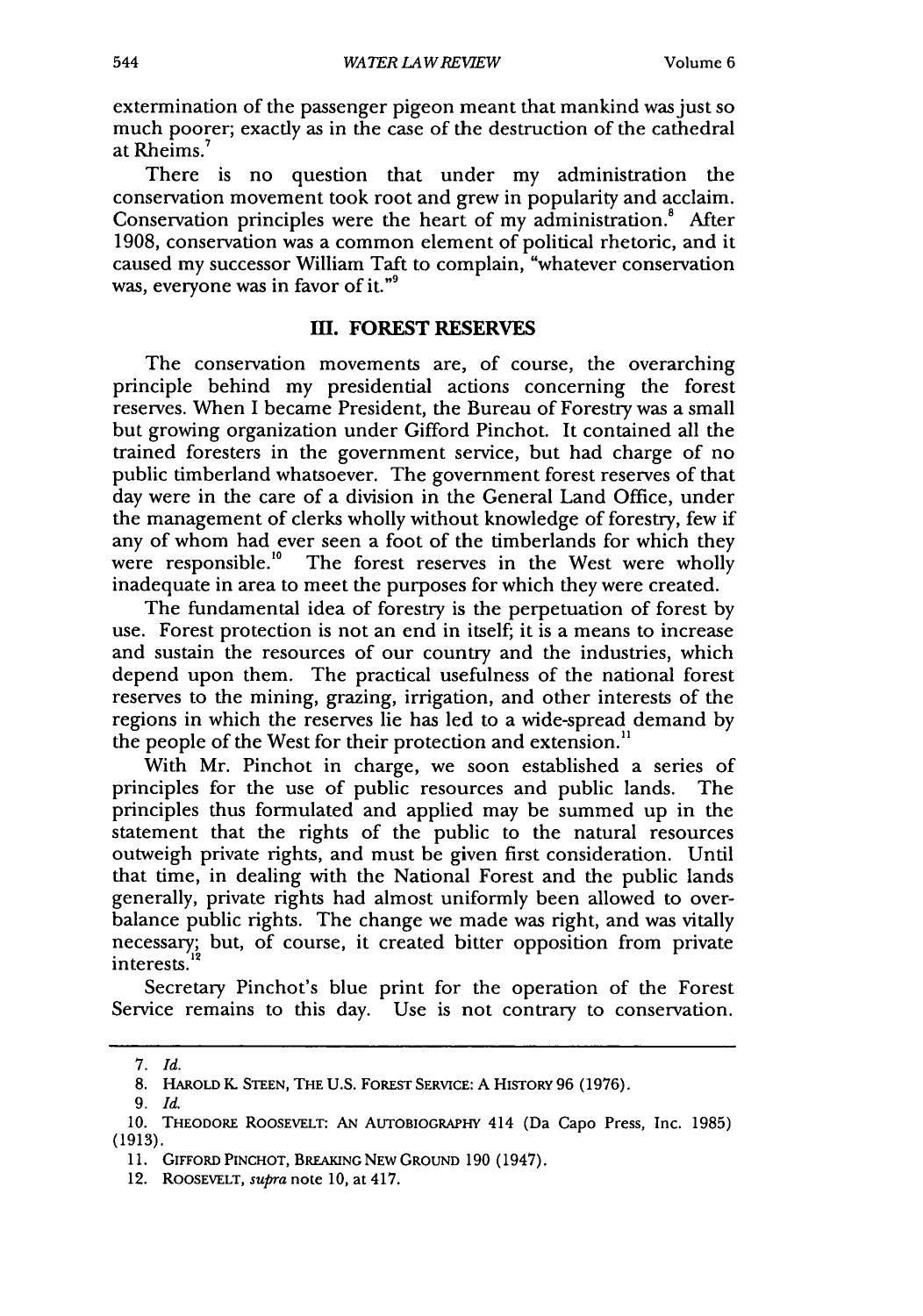extermination of the passenger pigeon meant that mankind was just so much poorer; exactly as in the case of the destruction of the cathedral at Rheims.7

There is no question that under my administration the conservation movement took root and grew in popularity and acclaim. Conservation principles were the heart of my administration.<sup>8</sup> After 1908, conservation was a common element of political rhetoric, and it caused my successor William Taft to complain, "whatever conservation was, everyone was in favor of it."<sup>9</sup>

#### m. FOREST RESERVES

The conservation movements are, of course, the overarching principle behind my presidential actions concerning the forest reserves. When I became President, the Bureau of Forestry was a small but growing organization under Gifford Pinchot. It contained all the trained foresters in the government service, but had charge of no public timberland whatsoever. The government forest reserves of that day were in the care of a division in the General Land Office, under the management of clerks wholly without knowledge of forestry, few if any of whom had ever seen a foot of the timberlands for which they were responsible.<sup>10</sup> The forest reserves in the West were wholly inadequate in area to meet the purposes for which they were created.

The fundamental idea of forestry is the perpetuation of forest by use. Forest protection is not an end in itself; it is a means to increase and sustain the resources of our country and the industries, which depend upon them. The practical usefulness of the national forest reserves to the mining, grazing, irrigation, and other interests of the regions in which the reserves lie has led to a wide-spread demand by the people of the West for their protection and extension."

With Mr. Pinchot in charge, we soon established a series of principles for the use of public resources and public lands. The principles thus formulated and applied may be summed up in the statement that the rights of the public to the natural resources outweigh private rights, and must be given first consideration. Until that time, in dealing with the National Forest and the public lands generally, private rights had almost uniformly been allowed to overbalance public rights. The change we made was right, and was vitally necessary; but, of course, it created bitter opposition from private interests.

Secretary Pinchot's blue print for the operation of the Forest Service remains to this day. Use is not contrary to conservation.

*<sup>7.</sup> Id.*

<sup>8.</sup> HAROLD *K.* STEEN, THE U.S. FOREST SERVICE: A HISTORY 96 (1976).

<sup>9.</sup> *Id.*

<sup>10.</sup> THEODORE ROOSEvELT: AN AUTOBIOGRAPHY 414 (Da Capo Press, Inc. 1985) (1913).

<sup>11.</sup> GIFFORD PINCHOT, BREAKING NEW GROUND 190 (1947).

<sup>12.</sup> ROOSEVELT, *supra* note 10, at 417.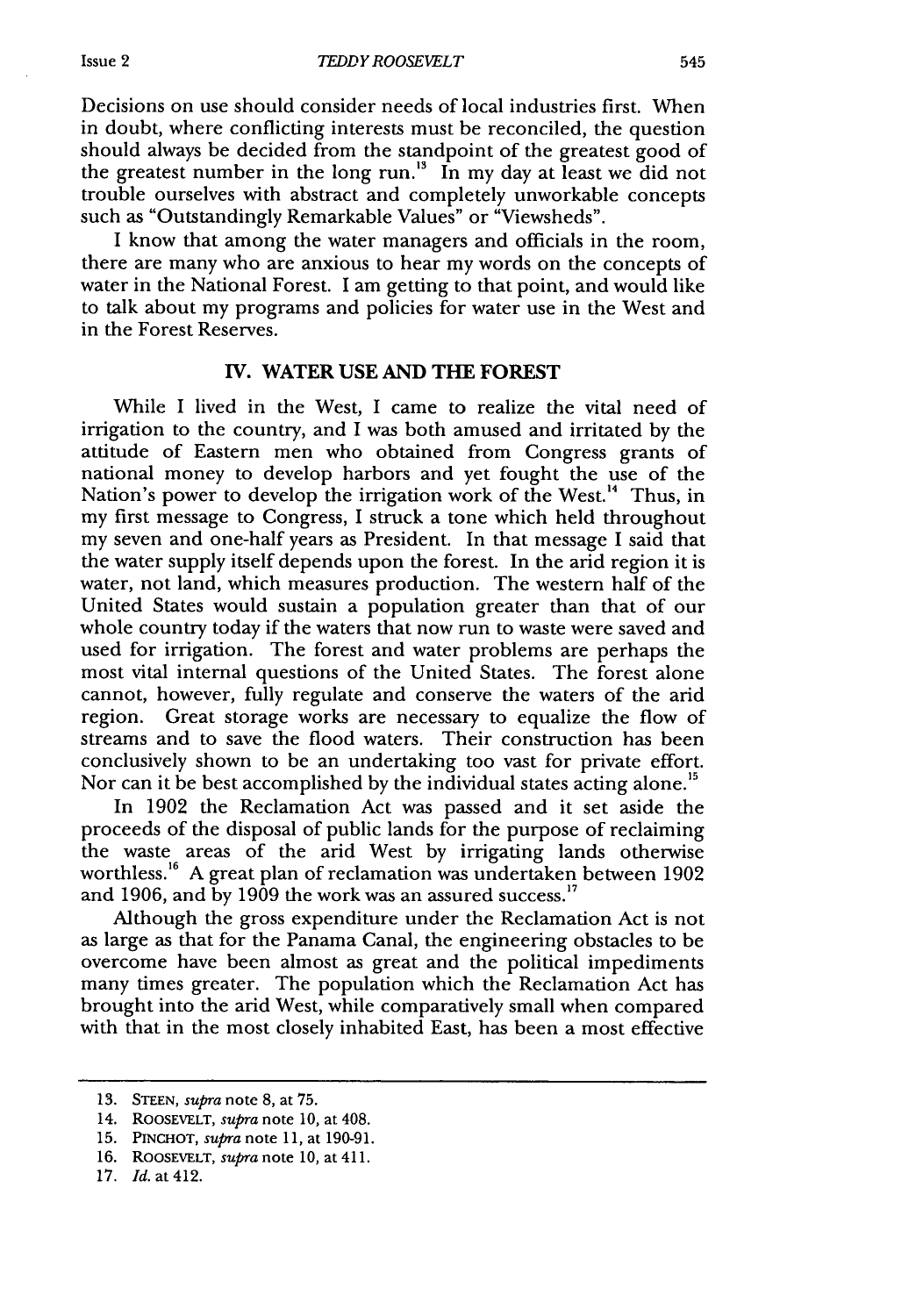Decisions on use should consider needs of local industries first. When in doubt, where conflicting interests must be reconciled, the question should always be decided from the standpoint of the greatest good of the greatest number in the long run.<sup>13</sup> In my day at least we did not trouble ourselves with abstract and completely unworkable concepts such as "Outstandingly Remarkable Values" or "Viewsheds".

I know that among the water managers and officials in the room, there are many who are anxious to hear my words on the concepts of water in the National Forest. I am getting to that point, and would like to talk about my programs and policies for water use in the West and in the Forest Reserves.

#### **IV.** WATER **USE AND THE FOREST**

While I lived in the West, I came to realize the vital need of irrigation to the country, and I was both amused and irritated by the attitude of Eastern men who obtained from Congress grants of national money to develop harbors and yet fought the use of the Nation's power to develop the irrigation work of the West.<sup>14</sup> Thus, in my first message to Congress, I struck a tone which held throughout my seven and one-half years as President. In that message I said that the water supply itself depends upon the forest. In the arid region it is water, not land, which measures production. The western half of the United States would sustain a population greater than that of our whole country today if the waters that now run to waste were saved and used for irrigation. The forest and water problems are perhaps the most vital internal questions of the United States. The forest alone cannot, however, fully regulate and conserve the waters of the arid region. Great storage works are necessary to equalize the flow of streams and to save the flood waters. Their construction has been conclusively shown to be an undertaking too vast for private effort. Nor can it be best accomplished by the individual states acting alone.<sup>15</sup>

In 1902 the Reclamation Act was passed and it set aside the proceeds of the disposal of public lands for the purpose of reclaiming the waste areas of the arid West by irrigating lands otherwise worthless.<sup>16</sup> A great plan of reclamation was undertaken between 1902 and 1906, and by 1909 the work was an assured success.<sup>17</sup>

Although the gross expenditure under the Reclamation Act is not as large as that for the Panama Canal, the engineering obstacles to be overcome have been almost as great and the political impediments many times greater. The population which the Reclamation Act has brought into the arid West, while comparatively small when compared with that in the most closely inhabited East, has been a most effective

<sup>13.</sup> **STEEN,** *supra* note 8, at 75.

<sup>14.</sup> ROOSEVELT, *supra* note **10,** at 408.

<sup>15.</sup> **PINCHOT,** *supra* note 11, at 190-91.

<sup>16.</sup> ROOSEvELT, *supra* note 10, at 411.

<sup>17.</sup> *Id.* at 412.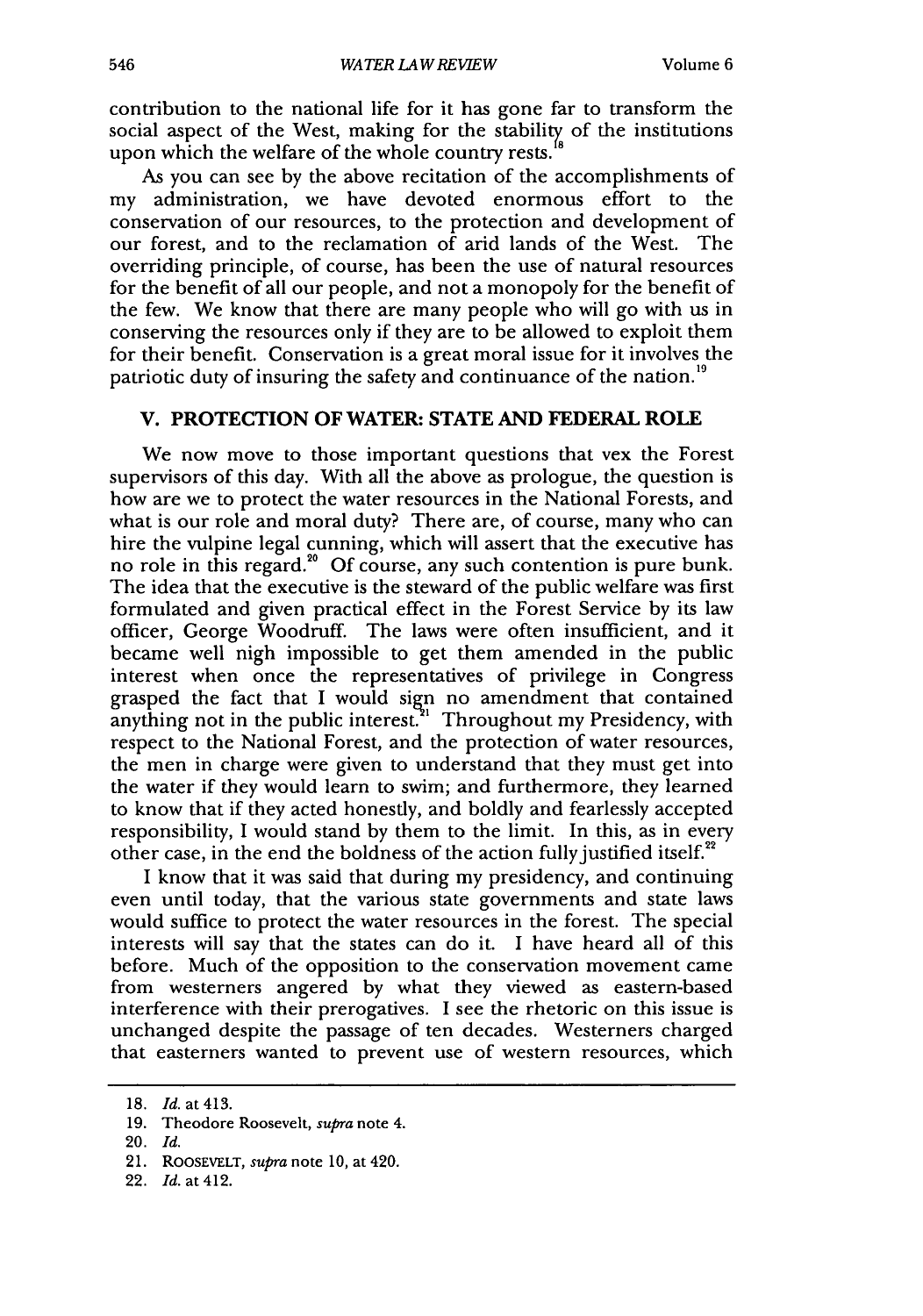contribution to the national life for it has gone far to transform the social aspect of the West, making for the stability of the institutions upon which the welfare of the whole country rests.

As you can see by the above recitation of the accomplishments of my administration, we have devoted enormous effort to the conservation of our resources, to the protection and development of our forest, and to the reclamation of arid lands of the West. The overriding principle, of course, has been the use of natural resources for the benefit of all our people, and not a monopoly for the benefit of the few. We know that there are many people who will go with us in conserving the resources only if they are to be allowed to exploit them for their benefit. Conservation is a great moral issue for it involves the patriotic duty of insuring the safety and continuance of the nation.<sup>19</sup>

### V. PROTECTION OF WATER: **STATE AND FEDERAL ROLE**

We now move to those important questions that vex the Forest supervisors of this day. With all the above as prologue, the question is how are we to protect the water resources in the National Forests, and what is our role and moral duty? There are, of course, many who can hire the vulpine legal cunning, which will assert that the executive has no role in this regard.<sup>20</sup> Of course, any such contention is pure bunk. The idea that the executive is the steward of the public welfare was first formulated and given practical effect in the Forest Service by its law officer, George Woodruff. The laws were often insufficient, and it became well nigh impossible to get them amended in the public interest when once the representatives of privilege in Congress grasped the fact that I would sign no amendment that contained anything not in the public interest.<sup>21</sup> Throughout my Presidency, with respect to the National Forest, and the protection of water resources, the men in charge were given to understand that they must get into the water if they would learn to swim; and furthermore, they learned to know that if they acted honestly, and boldly and fearlessly accepted responsibility, **I** would stand by them to the limit. In this, as in every other case, in the end the boldness of the action fully justified itself. $2^2$ 

I know that it was said that during my presidency, and continuing even until today, that the various state governments and state laws would suffice to protect the water resources in the forest. The special interests will say that the states can do it. I have heard all of this before. Much of the opposition to the conservation movement came from westerners angered by what they viewed as eastern-based interference with their prerogatives. I see the rhetoric on this issue is unchanged despite the passage of ten decades. Westerners charged that easterners wanted to prevent use of western resources, which

<sup>18.</sup> *Id.* at 413.

<sup>19.</sup> Theodore Roosevelt, *supra* note 4.

<sup>20.</sup> *Id.*

<sup>21.</sup> ROOSEVELT, *supra* note **10,** at 420.

<sup>22.</sup> *Id.* at 412.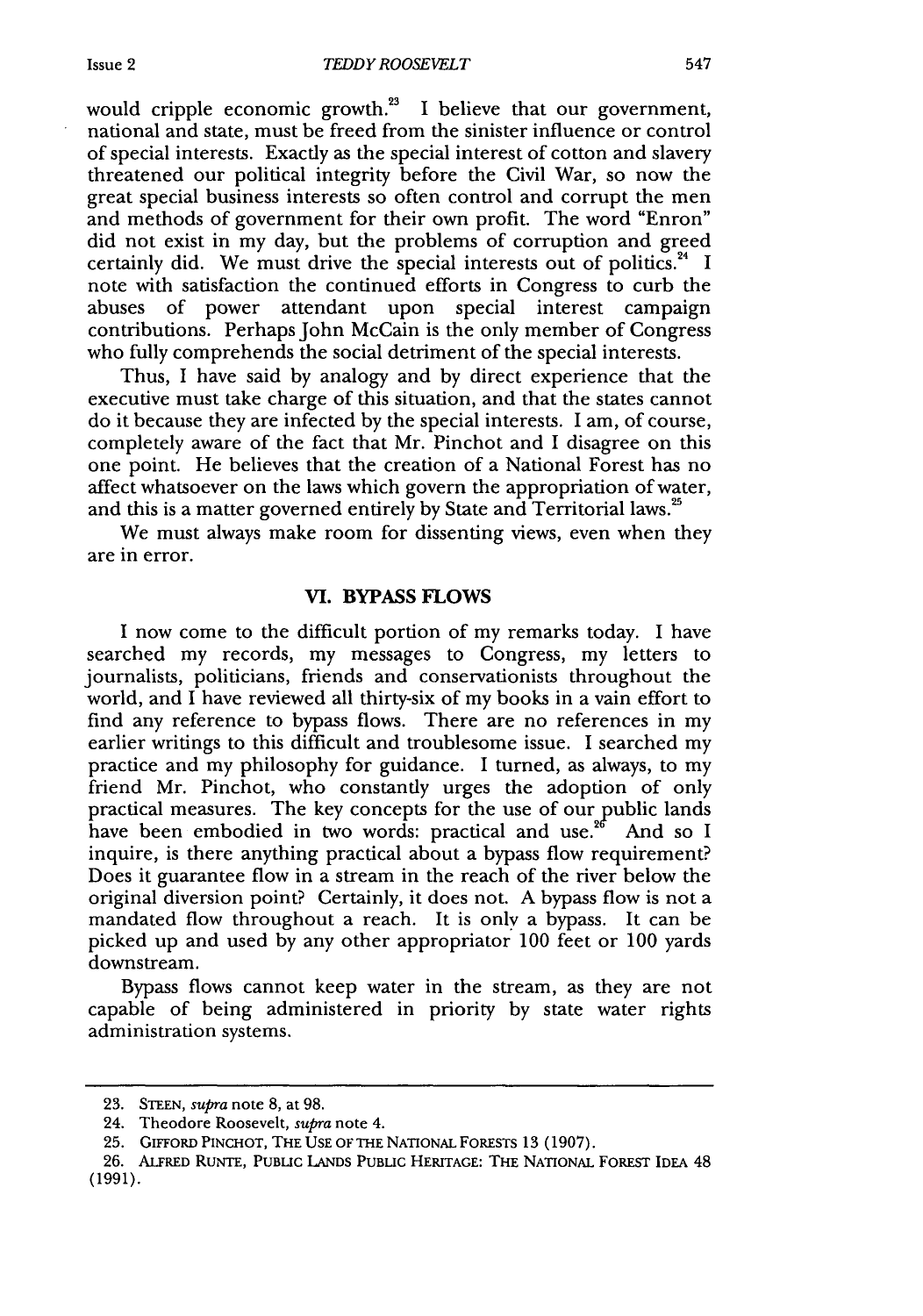would cripple economic growth. $^{23}$  I believe that our government, national and state, must be freed from the sinister influence or control of special interests. Exactly as the special interest of cotton and slavery threatened our political integrity before the Civil War, so now the great special business interests so often control and corrupt the men and methods of government for their own profit. The word "Enron" did not exist in my day, but the problems of corruption and greed certainly did. We must drive the special interests out of politics.<sup>24</sup> I note with satisfaction the continued efforts in Congress to curb the abuses of power attendant upon special interest campaign contributions. Perhaps John McCain is the only member of Congress who fully comprehends the social detriment of the special interests.

Thus, I have said by analogy and by direct experience that the executive must take charge of this situation, and that the states cannot do it because they are infected by the special interests. I am, of course, completely aware of the fact that Mr. Pinchot and I disagree on this one point. He believes that the creation of a National Forest has no affect whatsoever on the laws which govern the appropriation of water, and this is a matter governed entirely by State and Territorial laws.<sup>25</sup>

We must always make room for dissenting views, even when they are in error.

#### **VI. BYPASS FLOWS**

**I** now come to the difficult portion of my remarks today. I have searched my records, my messages to Congress, my letters to journalists, politicians, friends and conservationists throughout the world, and I have reviewed all thirty-six of my books in a vain effort to find any reference to bypass flows. There are no references in my earlier writings to this difficult and troublesome issue. I searched my practice and my philosophy for guidance. I turned, as always, to my friend Mr. Pinchot, who constantly urges the adoption of only practical measures. The key concepts for the use of our public lands have been embodied in two words: practical and use.<sup>26</sup> And so I inquire, is there anything practical about a bypass flow requirement? Does it guarantee flow in a stream in the reach of the river below the original diversion point? Certainly, it does not. A bypass flow is not a mandated flow throughout a reach. It is only a bypass. It can be picked up and used by any other appropriator 100 feet or 100 yards downstream.

Bypass flows cannot keep water in the stream, as they are not capable of being administered in priority by state water rights administration systems.

<sup>23.</sup> STEEN, *supra* note 8, at 98.

<sup>24.</sup> Theodore Roosevelt, *supra* note 4.

<sup>25.</sup> GIFFORD PINCHOT, THE USE OF THE NATIONAL FORESTS 13 (1907).

<sup>26.</sup> ALFRED RuNrE, PUBLIC LANDS PUBLIC HERITAGE: THE NATIONAL FOREST IDEA 48 (1991).